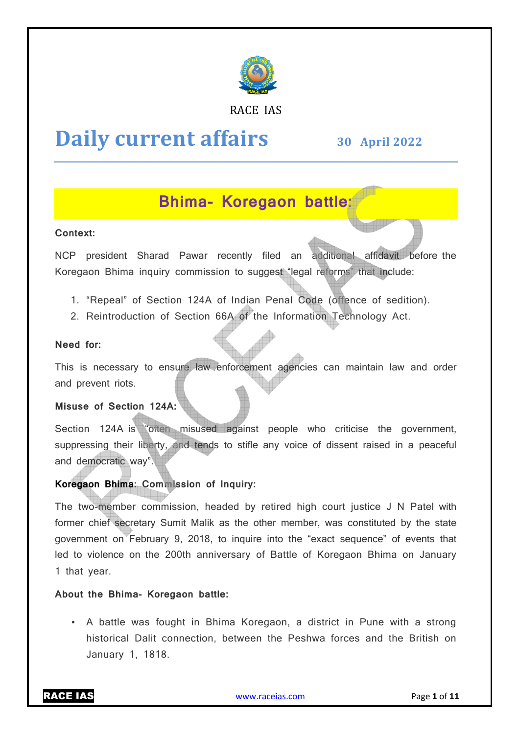

## RACE IAS

# **Daily current affairs**

**30 April April 2022**

## **Bhima Bhima- Koregaon battle:**

## **Context:**

NCP president Sharad Pawar recently filed an additional affidavit before before the Koregaon Bhima inquiry commission to suggest "legal reforms" that include:

- 1. "Repeal" of Section 124A of Indian Penal Code (offence of sedition).
- 2. Reintroduction of Section 66A of the Information Technology Act.

## **Need for:**

This is necessary to ensure law enforcement agencies can maintain law and order and prevent riots.

## **Misuse of Section 124A:**

Section 124A is "often misused against people who criticise the government, suppressing their liberty, and tends to stifle any voice of dissent raised in a peaceful and democratic way".

## **Koregaon Bhima: Commission of Inquiry: :**

The two-member commission, headed by retired high court justice J N Patel with former chief secretary Sumit Malik as the other member, was constituted by the state government on February 9, 2018, to inquire into the "exact sequence" of events that led to violence on the 200th anniversary of Battle of Koregaon Bhima on January 1 that year.

## **About the Bhima- Koregaon battle:**

• A battle was fought in Bhima Koregaon, a district in Pune with a strong historical Dalit connection, between the Peshwa forces and the British British on January 1, 1818.

RACE IAS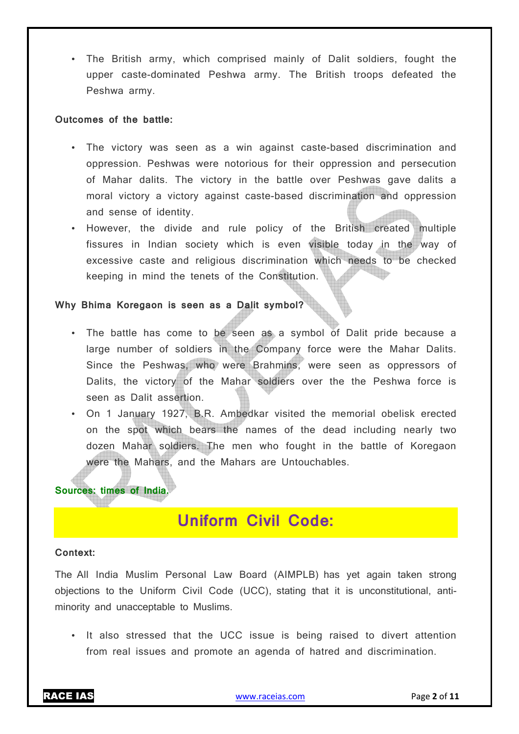• The British army, which comprised mainly of Dalit soldiers, fought the upper caste-dominated Peshwa army. The British troops defeated the Peshwa army.

#### **Outcomes of the battle:**

- The victory was seen as a win against caste-based discrimination and oppression. Peshwas were notorious for their oppression and persecution of Mahar dalits. The victory in the battle over Peshwas gave dalits a moral victory a victory against caste-based discrimination and oppression and sense of identity.
- However, the divide and rule policy of the British created multiple fissures in Indian society which is even visible today in the way of excessive caste and religious discrimination which needs to be checked keeping in mind the tenets of the Constitution.

## **Why Bhima Koregaon is seen as a Dalit symbol?**

- The battle has come to be seen as a symbol of Dalit pride because a large number of soldiers in the Company force were the Mahar Dalits. Since the Peshwas, who were Brahmins, were seen as oppressors of Dalits, the victory of the Mahar soldiers over the the Peshwa force is seen as Dalit assertion.
- On 1 January 1927, B.R. Ambedkar visited the memorial obelisk erected on the spot which bears the names of the dead including nearly two dozen Mahar soldiers. The men who fought in the battle of Koregaon were the Mahars, and the Mahars are Untouchables.

## **Sources: times of India.**

## **Uniform Civil Code:**

#### **Context:**

The All India Muslim Personal Law Board (AIMPLB) has yet again taken strong objections to the Uniform Civil Code (UCC), stating that it is unconstitutional, antiminority and unacceptable to Muslims.

• It also stressed that the UCC issue is being raised to divert attention from real issues and promote an agenda of hatred and discrimination.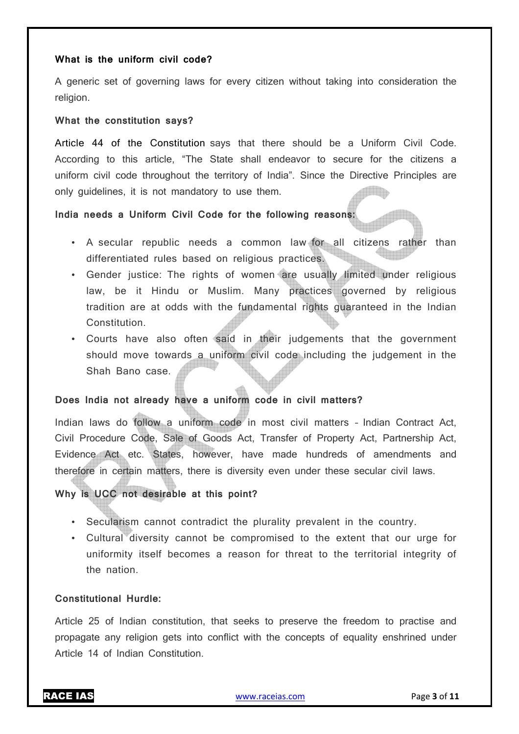## **What is the uniform civil code?**

A generic set of governing laws for every citizen without taking into consideration the religion.

#### **What the constitution says?**

Article 44 of the Constitution says that there should be a Uniform Civil Code. According to this article, "The State shall endeavor to secure for the citizens a uniform civil code throughout the territory of India". Since the Directive Principles are only guidelines, it is not mandatory to use them.

#### **India needs a Uniform Civil Code for the following reasons:**

- A secular republic needs a common law for all citizens rather than differentiated rules based on religious practices.
- Gender justice: The rights of women are usually limited under religious law, be it Hindu or Muslim. Many practices governed by religious tradition are at odds with the fundamental rights guaranteed in the Indian Constitution.
- Courts have also often said in their judgements that the government should move towards a uniform civil code including the judgement in the Shah Bano case.

## **Does India not already have a uniform code in civil matters?**

Indian laws do follow a uniform code in most civil matters – Indian Contract Act, Civil Procedure Code, Sale of Goods Act, Transfer of Property Act, Partnership Act, Evidence Act etc. States, however, have made hundreds of amendments and therefore in certain matters, there is diversity even under these secular civil laws.

## **Why is UCC not desirable at this point?**

- Secularism cannot contradict the plurality prevalent in the country.
- Cultural diversity cannot be compromised to the extent that our urge for uniformity itself becomes a reason for threat to the territorial integrity of the nation.

#### **Constitutional Hurdle:**

Article 25 of Indian constitution, that seeks to preserve the freedom to practise and propagate any religion gets into conflict with the concepts of equality enshrined under Article 14 of Indian Constitution.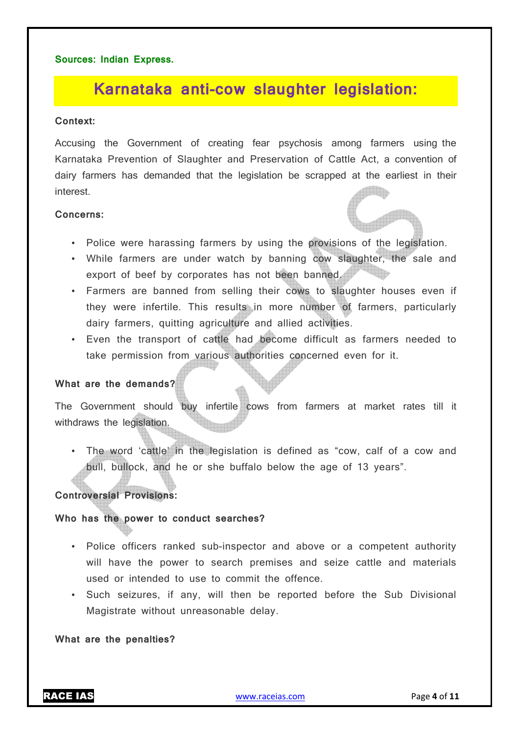## **Sources: Indian Express.**

## **Karnataka anti-cow slaughter legislation:**

#### **Context:**

Accusing the Government of creating fear psychosis among farmers using the Karnataka Prevention of Slaughter and Preservation of Cattle Act, a convention of dairy farmers has demanded that the legislation be scrapped at the earliest in their interest.

## **Concerns:**

- Police were harassing farmers by using the provisions of the legislation.
- While farmers are under watch by banning cow slaughter, the sale and export of beef by corporates has not been banned.
- Farmers are banned from selling their cows to slaughter houses even if they were infertile. This results in more number of farmers, particularly dairy farmers, quitting agriculture and allied activities.
- Even the transport of cattle had become difficult as farmers needed to take permission from various authorities concerned even for it.

## **What are the demands?**

The Government should buy infertile cows from farmers at market rates till it withdraws the legislation.

• The word 'cattle' in the legislation is defined as "cow, calf of a cow and bull, bullock, and he or she buffalo below the age of 13 years".

## **Controversial Provisions:**

## **Who has the power to conduct searches?**

- Police officers ranked sub-inspector and above or a competent authority will have the power to search premises and seize cattle and materials used or intended to use to commit the offence.
- Such seizures, if any, will then be reported before the Sub Divisional Magistrate without unreasonable delay.

#### **What are the penalties?**

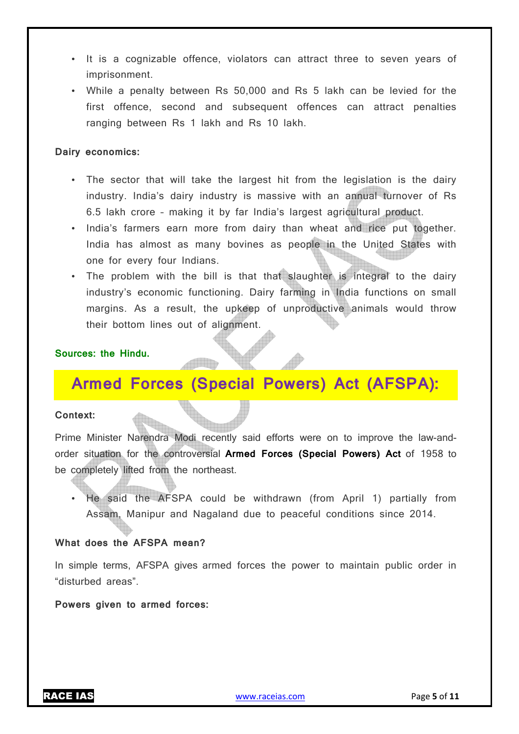- It is a cognizable offence, violators can attract three to seven years of imprisonment.
- While a penalty between Rs 50,000 and Rs 5 lakh can be levied for the first offence, second and subsequent offences can attract penalties ranging between Rs 1 lakh and Rs 10 lakh.

### **Dairy economics:**

- The sector that will take the largest hit from the legislation is the dairy industry. India's dairy industry is massive with an annual turnover of Rs 6.5 lakh crore – making it by far India's largest agricultural product.
- India's farmers earn more from dairy than wheat and rice put together. India has almost as many bovines as people in the United States with one for every four Indians.
- The problem with the bill is that that slaughter is integral to the dairy industry's economic functioning. Dairy farming in India functions on small margins. As a result, the upkeep of unproductive animals would throw their bottom lines out of alignment.

## **Sources: the Hindu.**

## **Armed Forces (Special Powers) Act (AFSPA):**

#### **Context:**

Prime Minister Narendra Modi recently said efforts were on to improve the law-andorder situation for the controversial **Armed Forces (Special Powers) Act** of 1958 to be completely lifted from the northeast.

• He said the AFSPA could be withdrawn (from April 1) partially from Assam, Manipur and Nagaland due to peaceful conditions since 2014.

#### **What does the AFSPA mean?**

In simple terms, AFSPA gives armed forces the power to maintain public order in "disturbed areas".

**Powers given to armed forces:**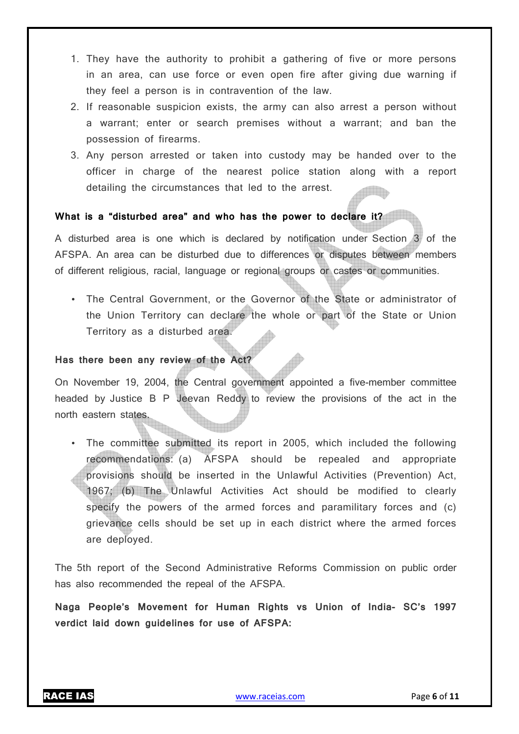- 1. They have the authority to prohibit a gathering of five or more persons in an area, can use force or even open fire after giving due warning if they feel a person is in contravention of the law.
- 2. If reasonable suspicion exists, the army can also arrest a person without a warrant; enter or search premises without a warrant; and ban the possession of firearms.
- 3. Any person arrested or taken into custody may be handed over to the officer in charge of the nearest police station along with a report detailing the circumstances that led to the arrest.

## **What is a "disturbed area" and who has the power to declare it?**

A disturbed area is one which is declared by notification under Section 3 of the AFSPA. An area can be disturbed due to differences or disputes between members of different religious, racial, language or regional groups or castes or communities.

• The Central Government, or the Governor of the State or administrator of the Union Territory can declare the whole or part of the State or Union Territory as a disturbed area.

## **Has there been any review of the Act?**

On November 19, 2004, the Central government appointed a five-member committee headed by Justice B P Jeevan Reddy to review the provisions of the act in the north eastern states.

• The committee submitted its report in 2005, which included the following recommendations: (a) AFSPA should be repealed and appropriate provisions should be inserted in the Unlawful Activities (Prevention) Act, 1967; (b) The Unlawful Activities Act should be modified to clearly specify the powers of the armed forces and paramilitary forces and (c) grievance cells should be set up in each district where the armed forces are deployed.

The 5th report of the Second Administrative Reforms Commission on public order has also recommended the repeal of the AFSPA.

**Naga People's Movement for Human Rights vs Union of India- SC's 1997 verdict laid down guidelines for use of AFSPA:**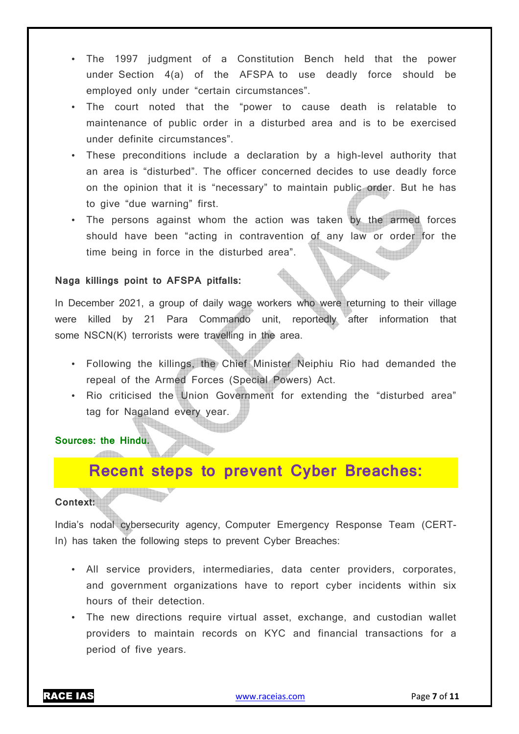- The 1997 judgment of a Constitution Bench held that the power under Section 4(a) of the AFSPA to use deadly force should be employed only under "certain circumstances".
- The court noted that the "power to cause death is relatable to maintenance of public order in a disturbed area and is to be exercised under definite circumstances".
- These preconditions include a declaration by a high-level authority that an area is "disturbed". The officer concerned decides to use deadly force on the opinion that it is "necessary" to maintain public order. But he has to give "due warning" first.
- The persons against whom the action was taken by the armed forces should have been "acting in contravention of any law or order for the time being in force in the disturbed area".

## **Naga killings point to AFSPA pitfalls:**

In December 2021, a group of daily wage workers who were returning to their village were killed by 21 Para Commando unit, reportedly after information that some NSCN(K) terrorists were travelling in the area.

- Following the killings, the Chief Minister Neiphiu Rio had demanded the repeal of the Armed Forces (Special Powers) Act.
- Rio criticised the Union Government for extending the "disturbed area" tag for Nagaland every year.

**Sources: the Hindu.**

<mark>e se se se se se</mark> s

## **Recent steps to prevent Cyber Breaches:**

## **Context:**

India's nodal cybersecurity agency, Computer Emergency Response Team (CERT-In) has taken the following steps to prevent Cyber Breaches:

- All service providers, intermediaries, data center providers, corporates, and government organizations have to report cyber incidents within six hours of their detection.
- The new directions require virtual asset, exchange, and custodian wallet providers to maintain records on KYC and financial transactions for a period of five years.

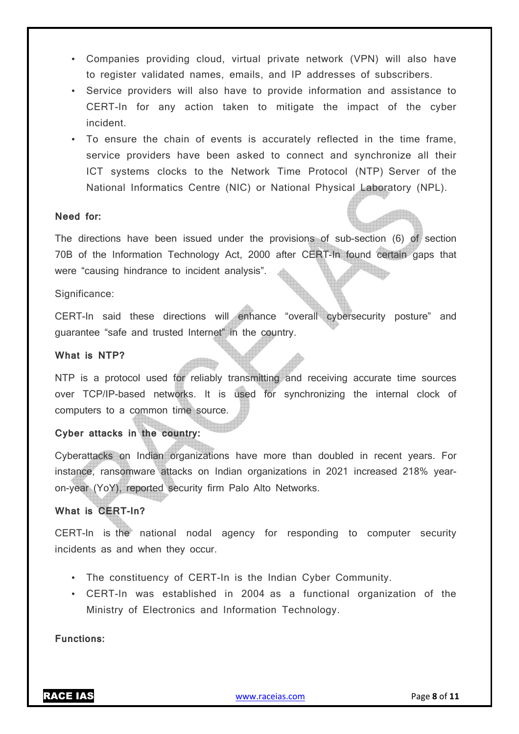- Companies providing cloud, virtual private network (VPN) will also have to register validated names, emails, and IP addresses of subscribers.
- Service providers will also have to provide information and assistance to CERT-In for any action taken to mitigate the impact of the cyber incident.
- To ensure the chain of events is accurately reflected in the time frame, service providers have been asked to connect and synchronize all their ICT systems clocks to the Network Time Protocol (NTP) Server of the National Informatics Centre (NIC) or National Physical Laboratory (NPL).

## **Need for:**

The directions have been issued under the provisions of sub-section (6) of section 70B of the Information Technology Act, 2000 after CERT-In found certain gaps that were "causing hindrance to incident analysis".

#### Significance:

CERT-In said these directions will enhance "overall cybersecurity posture" and guarantee "safe and trusted Internet" in the country.

#### **What is NTP?**

NTP is a protocol used for reliably transmitting and receiving accurate time sources over TCP/IP-based networks. It is used for synchronizing the internal clock of computers to a common time source.

## **Cyber attacks in the country:**

Cyberattacks on Indian organizations have more than doubled in recent years. For instance, ransomware attacks on Indian organizations in 2021 increased 218% yearon-year (YoY), reported security firm Palo Alto Networks.

## **What is CERT-In?**

CERT-In is the national nodal agency for responding to computer security incidents as and when they occur.

- The constituency of CERT-In is the Indian Cyber Community.
- CERT-In was established in 2004 as a functional organization of the Ministry of Electronics and Information Technology.

**Functions:**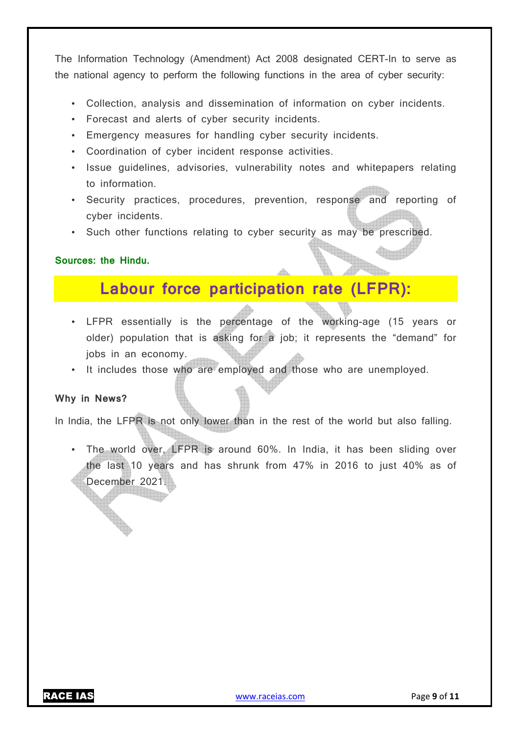The Information Technology (Amendment) Act 2008 designated CERT-In to serve as the national agency to perform the following functions in the area of cyber security:

- Collection, analysis and dissemination of information on cyber incidents.
- Forecast and alerts of cyber security incidents.
- Emergency measures for handling cyber security incidents.
- Coordination of cyber incident response activities.
- Issue guidelines, advisories, vulnerability notes and whitepapers relating to information.
- Security practices, procedures, prevention, response and reporting of cyber incidents.
- Such other functions relating to cyber security as may be prescribed.

## **Sources: the Hindu.**

## **Labour force participation rate (LFPR):**

- LFPR essentially is the percentage of the working-age (15 years or older) population that is asking for a job; it represents the "demand" for jobs in an economy.
- It includes those who are employed and those who are unemployed.

## **Why in News?**

In India, the LFPR is not only lower than in the rest of the world but also falling.

• The world over, LFPR is around 60%. In India, it has been sliding over the last 10 years and has shrunk from 47% in 2016 to just 40% as of December 2021.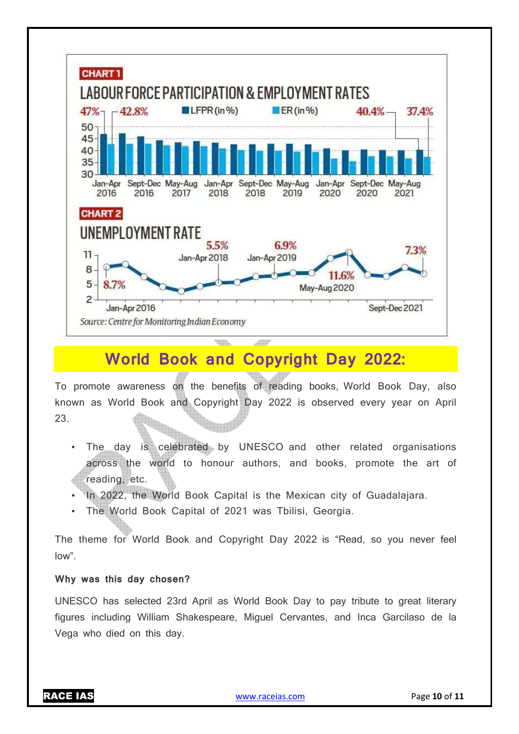

## **World Book and Copyright Day 2022:**

To promote awareness on the benefits of reading books, World Book Day, also known as World Book and Copyright Day 2022 is observed every year on April 23.

- The day is celebrated by UNESCO and other related organisations across the world to honour authors, and books, promote the art of reading, etc.
- In 2022, the World Book Capital is the Mexican city of Guadalajara.
- The World Book Capital of 2021 was Tbilisi, Georgia.

The theme for World Book and Copyright Day 2022 is "Read, so you never feel low".

## **Why was this day chosen?**

UNESCO has selected 23rd April as World Book Day to pay tribute to great literary figures including William Shakespeare, Miguel Cervantes, and Inca Garcilaso de la Vega who died on this day.